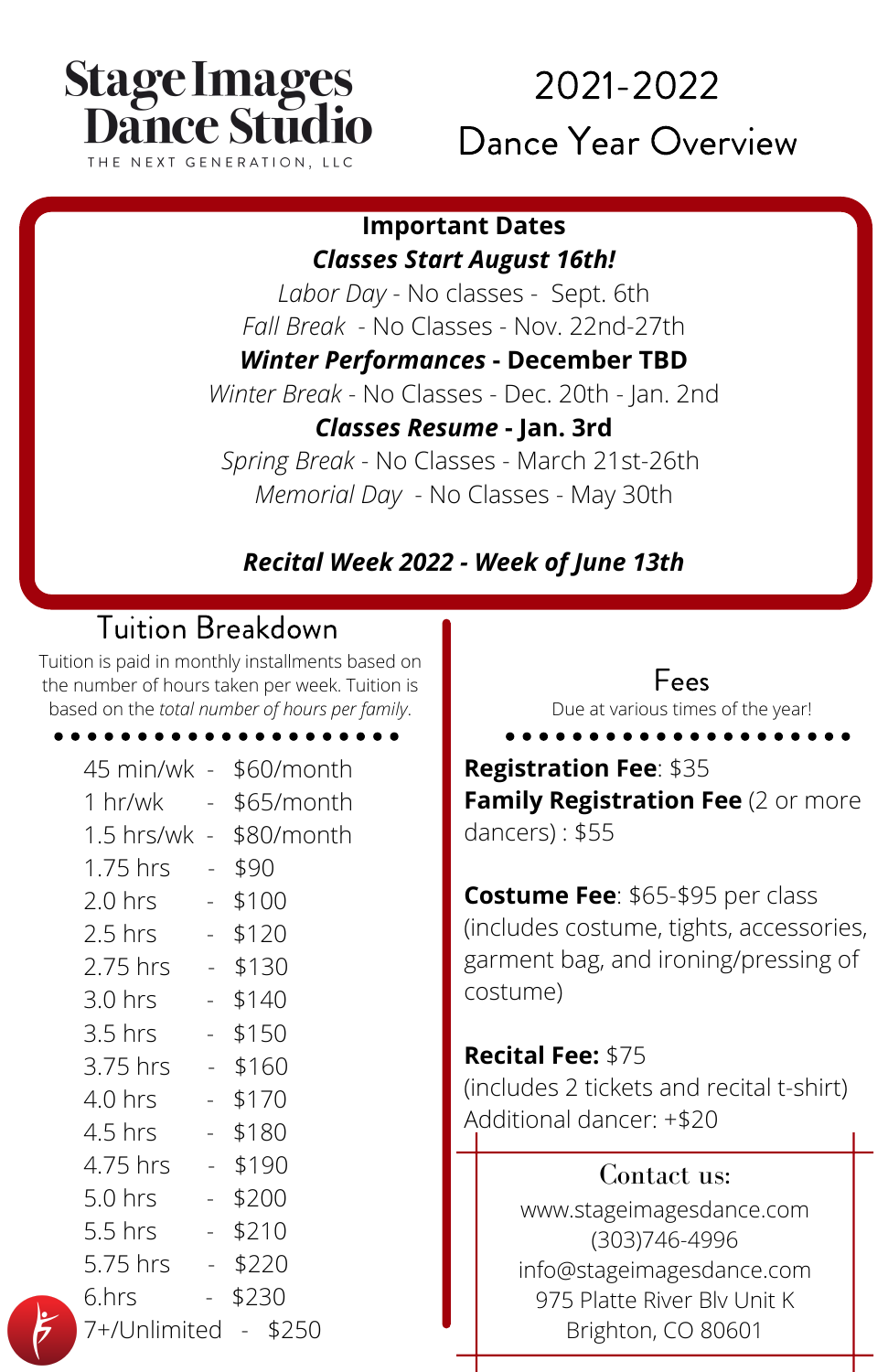# **Stage Images Dance Stud** NEXT GENERATION. LLC

# 2021-2022 Dance Year Overview

#### **Important Dates** *Classes Start August 16th!*

*Labor Day* - No classes - Sept. 6th *Fall Break* - No Classes - Nov. 22nd-27th

*Winter Performances* **- December TBD**

*Winter Break* - No Classes - Dec. 20th - Jan. 2nd

### *Classes Resume* **- Jan. 3rd**

*Spring Break* - No Classes - March 21st-26th *Memorial Day* - No Classes - May 30th

## *Recital Week 2022 - Week of June 13th*

# Tuition Breakdown

Tuition is paid in monthly installments based on the number of hours taken per week. Tuition is based on the *total number of hours per family*.

| 45 min/wk -          |                             | \$60/month |  |  |
|----------------------|-----------------------------|------------|--|--|
| 1 hr/wk              | $\sim$                      | \$65/month |  |  |
| 1.5 hrs/wk -         |                             | \$80/month |  |  |
| 1.75 hrs             | $\sim$                      | \$90       |  |  |
| $2.0 \text{ hrs}$    | $\sim$                      | \$100      |  |  |
| $2.5$ hrs            | $\sim$                      | \$120      |  |  |
| 2.75 hrs             | $\sim 10^{-1}$              | \$130      |  |  |
| 3.0 hrs              | $\sim$                      | \$140      |  |  |
| 3.5 hrs              | $\sim$                      | \$150      |  |  |
| 3.75 hrs             | $\omega_{\rm{max}}$         | \$160      |  |  |
| 4.0 hrs              | $\sim$                      | \$170      |  |  |
| 4.5 hrs              | $\sim$                      | \$180      |  |  |
| 4.75 hrs             | $\omega_{\rm{eff}}$         | \$190      |  |  |
| 5.0 hrs              | $\sim$ $^{-1}$              | \$200      |  |  |
| 5.5 hrs              | $\omega_{\rm c}$            | \$210      |  |  |
| 5.75 hrs             |                             | $-$ \$220  |  |  |
| 6.hrs                | $\mathbb{Z}^{\mathbb{Z}^2}$ | \$230      |  |  |
| 7+/Unlimited - \$250 |                             |            |  |  |

#### Fees

Due at various times of the year!

**Registration Fee**: \$35 **Family Registration Fee** (2 or more dancers) : \$55

**Costume Fee**: \$65-\$95 per class (includes costume, tights, accessories, garment bag, and ironing/pressing of costume)

**Recital Fee:** \$75 (includes 2 tickets and recital t-shirt) Additional dancer: +\$20

#### Contact us:

www.stageimagesdance.com (303)746-4996 info@stageimagesdance.com 975 Platte River Blv Unit K Brighton, CO 80601